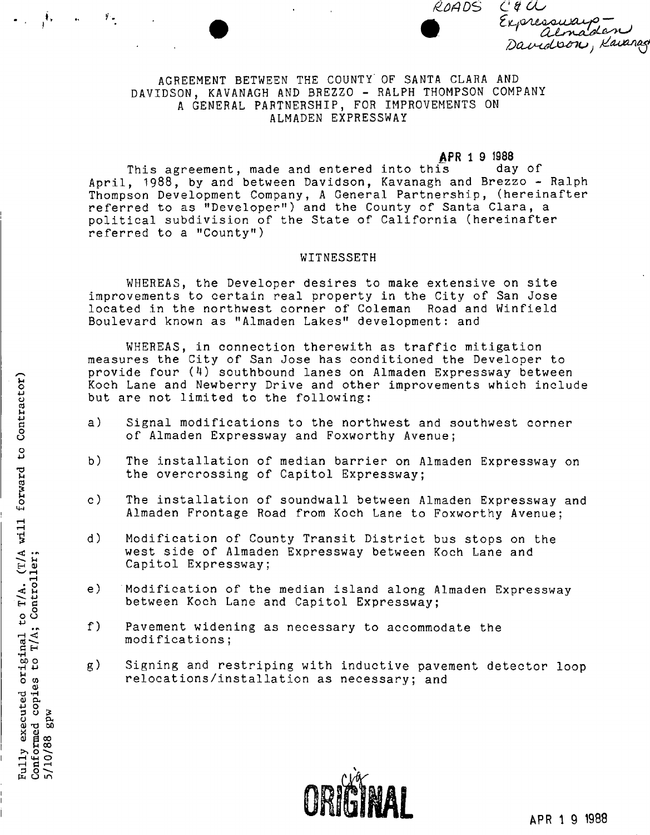*fLOA OS C9 6U* 

a A *ZiLpAjtMujja^,—' .*  almaden *Dax^trlxunu*} *U-iozn^* 

## AGREEMENT BETWEEN THE COUNTY OF SANTA CLARA AND DAVIDSON, KAVANAGH AND BREZZO - RALPH THOMPSON COMPANY A GENERAL PARTNERSHIP, FOR IMPROVEMENTS ON ALMADEN EXPRESSWAY

**APR 1 9 1988**<br>is day of This agreement, made and entered into this April, 1988, by and between Davidson, Kavanagh and Brezzo - Ralph Thompson Development Company, A General Partnership, (hereinafter referred to as "Developer") and the County of Santa Clara, a political subdivision of the State of California (hereinafter referred to a "County")

#### WITNESSETH

WHEREAS, the Developer desires to make extensive on site improvements to certain real property in the City of San Jose located in the northwest corner of Coleman Road and Winfield Boulevard known as "Almaden Lakes" development: and

WHEREAS, in connection therewith as traffic mitigation measures the City of San Jose has conditioned the Developer to provide four  $(4)$  southbound lanes on Almaden Expressway between Koch Lane and Newberry Drive and other improvements which include but are not limited to the following:

- a) Signal modifications to the northwest and southwest corner *8* of Almaden Expressway and Foxworthy Avenue;
- b) The installation of median barrier on Almaden Expressway on the overcrossing of Capitol Expressway;
- c) The installation of soundwall between Almaden Expressway and Almaden Frontage Road from Koch Lane to Foxworthy Avenue;
- d) Modification of County Transit District bus stops on the west side of Almaden Expressway between Koch Lane and Capitol Expressway;
- e) Modification of the median island along Almaden Expressway between Koch Lane and Capitol Expressway;
- f) Pavement widening as necessary to accommodate the modifications;
- g) Signing and restriping with inductive pavement detector loop relocations/installation as necessary: and o w relocations/installation as necessary; and<br>d and  $\frac{1}{2}$ <br> $\frac{1}{2}$   $\frac{3}{2}$ <br> $\frac{2}{3}$



 $\mathbf{I}$ 

 $\mathcal{V}_{\mathcal{P}}$ 

h u m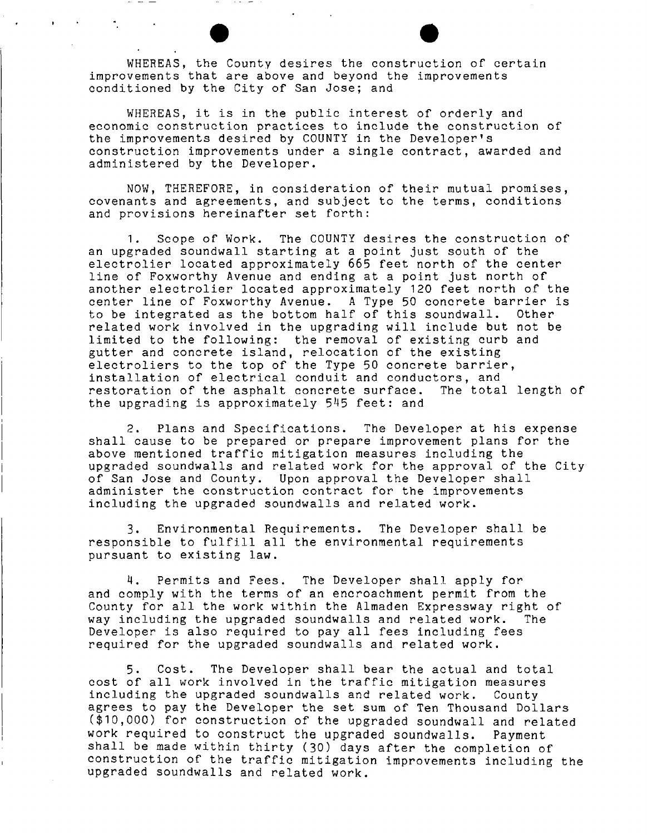WHEREAS, the County desires the construction of certain improvements that are above and beyond the improvements conditioned by the City of San Jose; and

WHEREAS, it is in the public interest of orderly and economic construction practices to include the construction of the improvements desired by COUNTY in the Developer's construction improvements under a single contract, awarded and administered by the Developer.

NOW, THEREFORE, in consideration of their mutual promises, covenants and agreements, and subject to the terms, conditions and provisions hereinafter set forth:

1. Scope of Work. The COUNTY desires the construction of an upgraded soundwall starting at a point just south of the electrolier located approximately 665 feet north of the center line of Foxworthy Avenue and ending at a point just north of another electrolier located approximately 120 feet north of the center line of Foxworthy Avenue. A Type 50 concrete barrier is to be integrated as the bottom half of this soundwall. Other related work involved in the upgrading will include but not be limited to the following: the removal of existing curb and gutter and concrete island, relocation of the existing electroliers to the top of the Type 50 concrete barrier, installation of electrical conduit and conductors, and restoration of the asphalt concrete surface. The total length of the upgrading is approximately  $545$  feet: and

2. Plans and Specifications. The Developer at his expense shall cause to be prepared or prepare improvement plans for the above mentioned traffic mitigation measures including the upgraded soundwalls and related work for the approval of the City of San Jose and County. Upon approval the Developer shall administer the construction contract for the improvements including the upgraded soundwalls and related work.

3. Environmental Requirements. The Developer shall be responsible to fulfill all the environmental requirements pursuant to existing law.

4. Permits and Fees. The Developer shall apply for and comply with the terms of an encroachment permit from the County for all the work within the Almaden Expressway right of way including the upgraded soundwalls and related work. The Developer is also required to pay all fees including fees required for the upgraded soundwalls and related work.

5. Cost. The Developer shall bear the actual and total cost of all work involved in the traffic mitigation measures including the upgraded soundwalls and related work. County agrees to pay the Developer the set sum of Ten Thousand Dollars (\$10,000) for construction of the upgraded soundwall and related work required to construct the upgraded soundwalls. Payment shall be made within thirty (30) days after the completion of construction of the traffic mitigation improvements including the upgraded soundwalls and related work.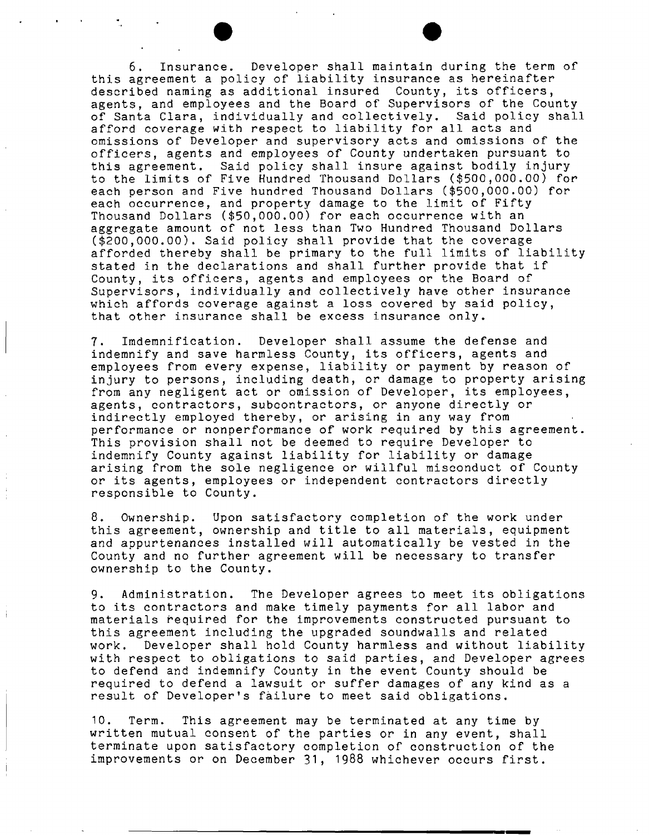6. Insurance. Developer shall maintain during the term of this agreement a policy of liability insurance as hereinafter described naming as additional insured County, its officers, agents, and employees and the Board of Supervisors of the County of Santa Clara, individually and collectively. Said policy shall afford coverage with respect to liability for all acts and omissions of Developer and supervisory acts and omissions of the officers, agents and employees of County undertaken pursuant to this agreement. Said policy shall insure against bodily injury to the limits of Five Hundred Thousand Dollars (\$500,000.00) for each person and Five hundred Thousand Dollars (\$500,000.00) for each occurrence, and property damage to the limit of Fifty Thousand Dollars (\$50,000.00) for each occurrence with an aggregate amount of not less than Two Hundred Thousand Dollars (\$200,000.00). Said policy shall provide that the coverage afforded thereby shall be primary to the full limits of liability stated in the declarations and shall further provide that if County, its officers, agents and employees or the Board of Supervisors, individually and collectively have other insurance which affords coverage against a loss covered by said policy, that other insurance shall be excess insurance only.

7. Imdemnification. Developer shall assume the defense and indemnify and save harmless County, its officers, agents and employees from every expense, liability or payment by reason of injury to persons, including death, or damage to property arising from any negligent act or omission of Developer, its employees, agents, contractors, subcontractors, or anyone directly or indirectly employed thereby, or arising in any way from performance or nonperformance of work required by this agreement. This provision shall not be deemed to require Developer to indemnify County against liability for liability or damage arising from the sole negligence or willful misconduct of County or its agents, employees or independent contractors directly responsible to County.

8. Ownership. Upon satisfactory completion of the work under this agreement, ownership and title to all materials, equipment and appurtenances installed will automatically be vested in the County and no further agreement will be necessary to transfer ownership to the County.

9. Administration. The Developer agrees to meet its obligations to its contractors and make timely payments for all labor and materials required for the improvements constructed pursuant to this agreement including the upgraded soundwalls and related work. Developer shall hold County harmless and without liability with respect to obligations to said parties, and Developer agrees to defend and indemnify County in the event County should be required to defend a lawsuit or suffer damages of any kind as a result of Developer's failure to meet said obligations.

10. Term. This agreement may be terminated at any time by written mutual consent of the parties or in any event, shall terminate upon satisfactory completion of construction of the improvements or on December 31, 1988 whichever occurs first.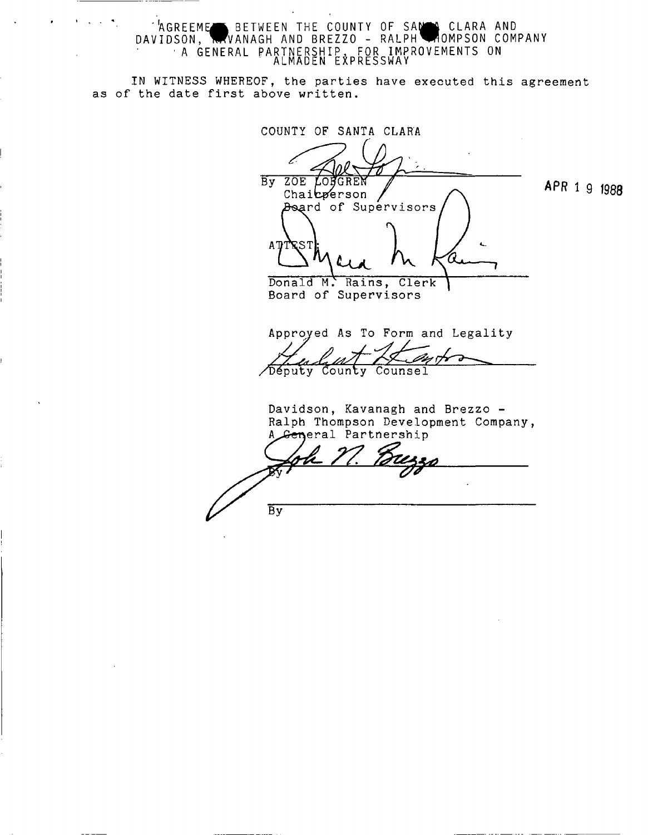AGREEME BETWEEN THE COUNTY OF SAN CLARA AND DAVIDSON , WVANAG H AND BREZZO - RALPH *m* OMPSON COMPAN Y •A GENERAL PARTNERSHIP , FOR IMPROVEMENT S ON ALMADEN EXPRESSWA Y

IN WITNESS WHEREOF, the parties have executed this agreement as of the date first above written.

COUNTY OF SANTA CLARA

By ZOE LONGREN Chairperson Beard of Supervisors A T Т *UjL* 

APR 1 9 jggg

Donald M. Rains, Clerk Board of Supervisors

Approved As To Form and Legality

/Deputy County Counsel

Davidson, Kavanagh and Brezzo - Ralph Thompson Development Company, General Partnership А

 $\overline{By}$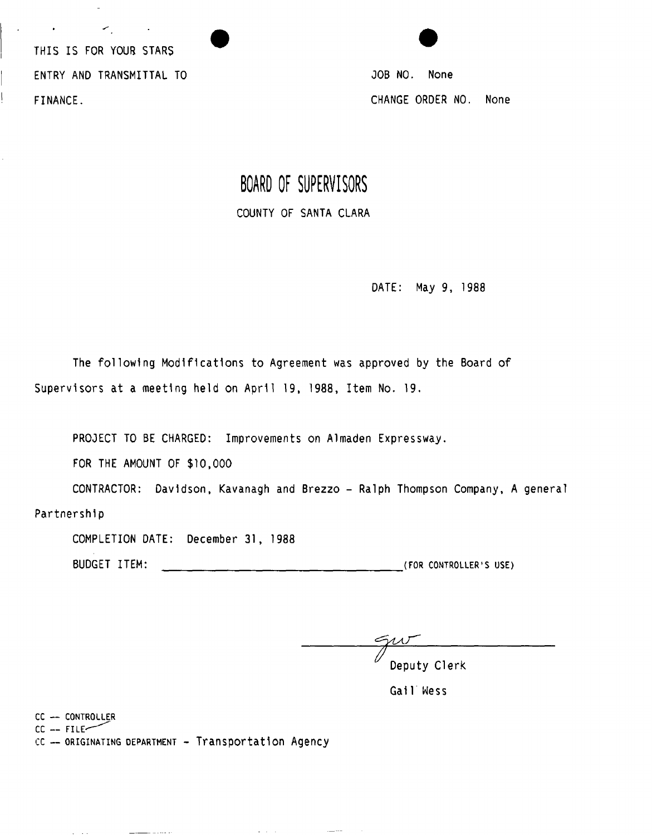THIS IS FOR YOUR STARS ENTRY AND TRANSMITTAL TO FINANCE.

 $\leq$ 

JOB NO. None CHANGE ORDER NO. None

## **BOARD OF SUPERVISORS**  COUNTY OF SANTA CLARA

DATE: May 9, 1988

The following Modifications to Agreement was approved by the Board of Supervisors at a meeting held on April 19, 1988, Item No. 19.

PROJECT TO BE CHARGED: Improvements on Almaden Expressway.

FOR THE AMOUNT OF \$10,000

CONTRACTOR: Davidson, Kavanagh and Brezzo - Ralph Thompson Company, A general

Partnership

COMPLETION DATE: December 31, 1988

BUDGET ITEM: **(FOR CONTROLLER'S USE)** 

Deputy Clerk

Gail Wess

cc **— CONTROLLER** 

 $\mathcal{L} = \{ \mathcal{L} \mid \mathcal{L} \in \mathcal{L} \}$ 

 $CC$  --  $FILE$ 

cc **— ORIGINATING DEPARTMENT** - Transportation Agency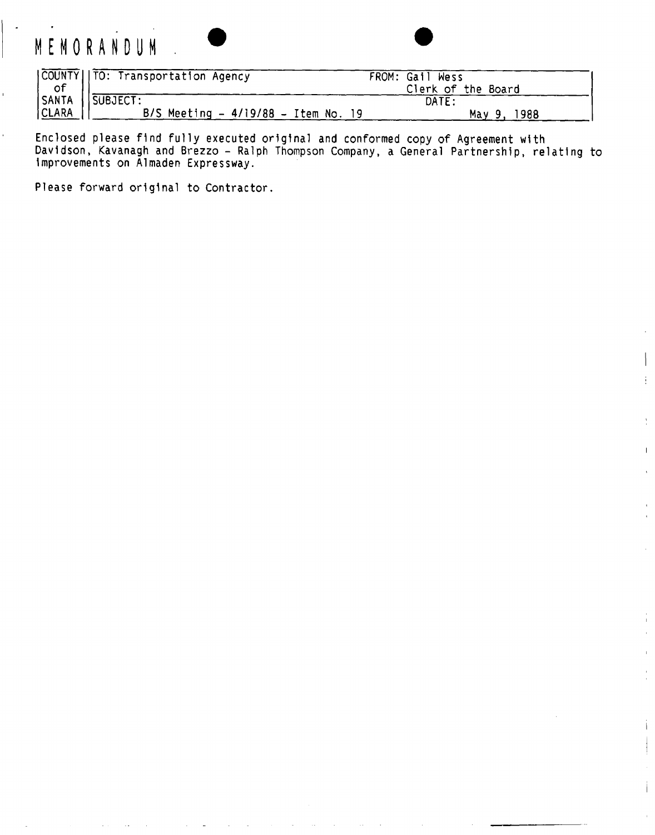# **MEMORANDU M**

 $\hat{\mathbf{r}}$ 



 $\mathbf{I}$ 

|       |                                      | FROM: Gail Wess    |  |
|-------|--------------------------------------|--------------------|--|
|       |                                      | Clerk of the Board |  |
|       |                                      | DATE:              |  |
| CLARA | B/S Meeting $-4/19/88 -$ Item No. 19 | 1988<br>Mav 9. .   |  |

Enclosed please find fully executed original and conformed copy of Agreement with Davidson, Kavanagh and Brezzo - Ralph Thompson Company, a General Partnership, relating to Improvements on Almaden Expressway.

Please forward original to Contractor.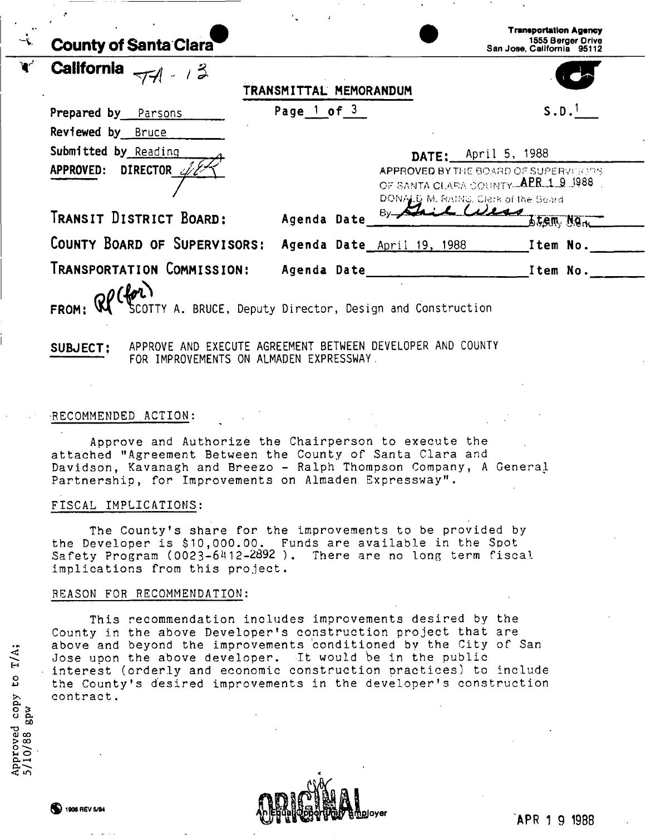|    | <b>County of Santa Clara</b>                                                  |                        |                            | <b>Transportation Agency</b><br>1555 Berger Drive<br>San Jose, California 95112                                                                    |
|----|-------------------------------------------------------------------------------|------------------------|----------------------------|----------------------------------------------------------------------------------------------------------------------------------------------------|
| ₩. | <b>California</b><br>$771 - 13$                                               | TRANSMITTAL MEMORANDUM |                            |                                                                                                                                                    |
|    | Prepared by Parsons                                                           | Page $1$ of $3$        |                            | $S.D.$ <sup>1</sup>                                                                                                                                |
|    | Reviewed by Bruce<br>Submitted by Reading<br>APPROVED: DIRECTOR $\mathcal{Z}$ |                        |                            | <b>DATE:</b> $April 5, 1988$<br>APPROVED BY THE BOARD OF SUPERVISORS<br>OF SANTA CLARA COUNTY APR 1 9 1988.<br>DONALD M. RAINS, Clerk of the Soard |
|    | TRANSIT DISTRICT BOARD:                                                       | Agenda Date            |                            | <b>BEGM NOW</b>                                                                                                                                    |
|    | COUNTY BOARD OF SUPERVISORS:                                                  |                        | Agenda Date April 19, 1988 | Item No.                                                                                                                                           |
|    | TRANSPORTATION COMMISSION:<br>$QP(h^{n})$                                     | Agenda Date            |                            | Item No.                                                                                                                                           |
|    | SCOTTY A. BRUCE, Deputy Director, Design and Construction                     |                        |                            |                                                                                                                                                    |
|    | APPROVE AND EXECUTE AGREEMENT BETWEEN DEVELOPER AND COUNTY<br>SUBJECT:        |                        |                            |                                                                                                                                                    |

### RECOMMENDED ACTION:

Approve and Authorize the Chairperson to execute the attached "Agreement Between the County of Santa Clara and Davidson, Kavanagh and Breezo - Ralph Thompson Company, A General Partnership, for Improvements on Almaden Expressway".

FOR IMPROVEMENTS ON ALMADEN EXPRESSWAY.

#### FISCAL IMPLICATIONS:

The County's share for the improvements to be provided by the Developer is \$10,000.00. Funds are available in the Spot Safety Program (0023-6412-2892 ). There are no long term fiscal implications from this project.

#### REASON FOR RECOMMENDATION:

This recommendation includes improvements desired by the County in the above Developer's construction project that are above and beyond the improvements conditioned by the City of San Jose upon the above developer. It would be in the public interest (orderly and economic construction practices) to include the County 's desired improvements in the developer's construction contract.

**1908 REV 5/B4** 

• <« *<* 

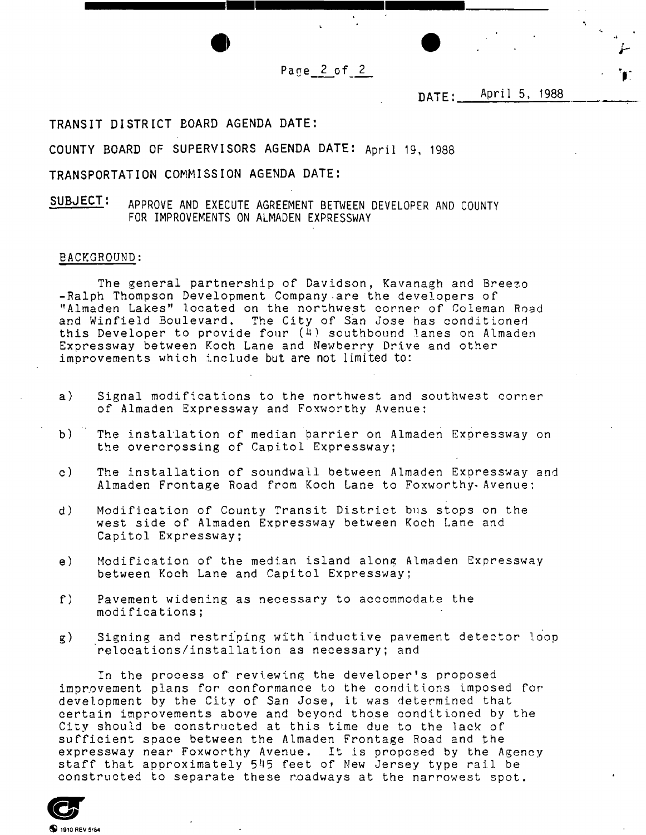Page 2 of 2

## DATE: <u>April 5, 1988</u>

**TRANSIT DISTRICT BOARD AGENDA DATE:** 

**COUNTY BOARD OF SUPERVISORS AGENDA DATE:** April 19, 1988

**TRANSPORTATION COMMISSION AGENDA DATE:** 

**SUBJECT:** APPROVE AND EXECUTE AGREEMENT BETWEEN DEVELOPER AND COUNTY FOR IMPROVEMENTS ON ALMADEN EXPRESSWAY

#### BACKGROUND:

The general partnership of Davidson, Kavanagh and Breezo -Ralph Thompson Development Company are the developers of "Almaden Lakes" located on the northwest corner of Coleman Road and Winfield Boulevard. The City of San Jose has conditioned this Developer to provide four  $(4)$  southbound lanes on Almaden Expressway between Koch Lane and Newberry Drive and other improvements which include but are not limited to:

- a) Signal modifications to the northwest and southwest corner of Almaden Expressway and Foxworthy Avenue;
- b) The installation of median barrier on Almaden Expressway on the overcrossing of Capitol Expressway;
- c) The installation of soundwall between Almaden Expressway and Almaden Frontage Road from Koch Lane to Foxworthy- Avenue;
- d) Modification of County Transit District bus stops on the west side of Almaden Expressway between Koch Lane and Capitol Expressway;
- e) Modification of the median island along Almaden Expressway between Koch Lane and Capitol Expressway;
- f) Pavement widening as necessary to accommodate the modifications;
- g) Signing and restriping with inductive pavement detector loop relocations/installation as necessary; and

In the process of reviewing the developer's proposed improvement plans for conformance to the conditions imposed for development by the City of San Jose, it was determined that certain improvements above and beyond those conditioned by the City should be constructed at this time due to the lack of sufficient space between the Almaden Frontage Road and the expressway near Foxworthy Avenue. It is proposed by the Agency staff that approximately 545 feet of New Jersey type rail be constructed to separate these roadways at the narrowest spot.

**9 9** 1910 REV 5/84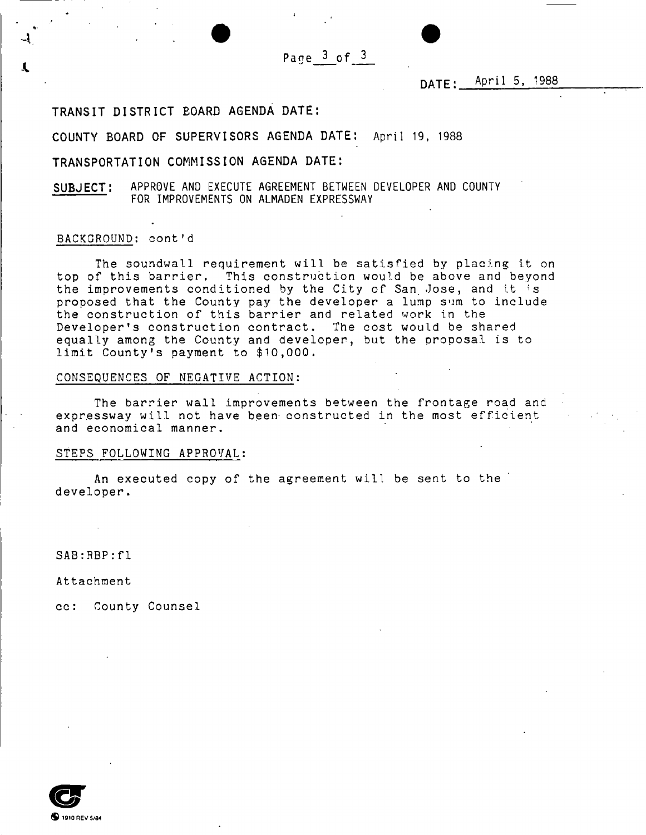**Pane 3 of 3** 

## $\texttt{DATE}: \_\texttt{APr11} \texttt{5, +988}$

## **TRANSIT DISTRICT BOARD AGENDA DATE:**

**COUNTY BOARD OF SUPERVISORS AGENDA DATE:** April 19, 1988

**TRANSPORTATION COMMISSION AGENDA DATE:** 

**SUBJECT:** APPROVE AND EXECUTE AGREEMENT BETWEEN DEVELOPER AND COUNTY FOR IMPROVEMENTS ON ALMADEN EXPRESSWAY

## BACKGROUND: cont'd

The soundwall requirement will be satisfied by placing it on top of this barrier. This construction would be above and beyond the improvements conditioned by the City of San Jose, and it is proposed that the County pay the developer a lump sum to include the construction of this barrier and related work in the Developer's construction contract. The cost would be shared equally among the County and developer, but the proposal is to limit County's payment to \$10,000.

CONSEQUENCES OF NEGATIVE ACTION:

The barrier wall improvements between the frontage road and expressway will not have been constructed in the most efficient and economical manner.

## STEPS FOLLOWING APPROVAL:

An executed copy of the agreement will be sent to the developer.

SAB:RBP:f1

Attachment

cc: County Counsel